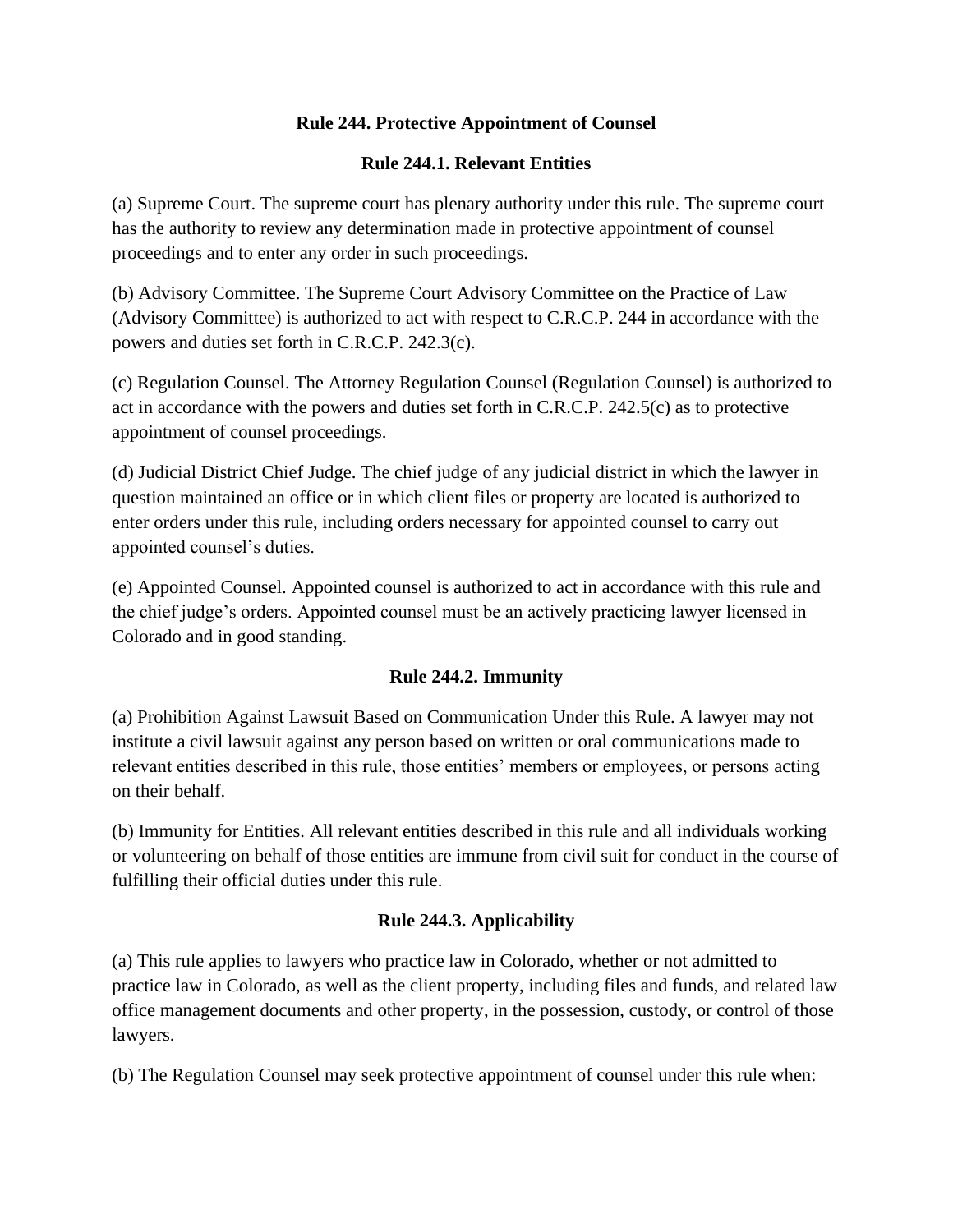### **Rule 244. Protective Appointment of Counsel**

#### **Rule 244.1. Relevant Entities**

(a) Supreme Court. The supreme court has plenary authority under this rule. The supreme court has the authority to review any determination made in protective appointment of counsel proceedings and to enter any order in such proceedings.

(b) Advisory Committee. The Supreme Court Advisory Committee on the Practice of Law (Advisory Committee) is authorized to act with respect to C.R.C.P. 244 in accordance with the powers and duties set forth in C.R.C.P. 242.3(c).

(c) Regulation Counsel. The Attorney Regulation Counsel (Regulation Counsel) is authorized to act in accordance with the powers and duties set forth in C.R.C.P. 242.5(c) as to protective appointment of counsel proceedings.

(d) Judicial District Chief Judge. The chief judge of any judicial district in which the lawyer in question maintained an office or in which client files or property are located is authorized to enter orders under this rule, including orders necessary for appointed counsel to carry out appointed counsel's duties.

(e) Appointed Counsel. Appointed counsel is authorized to act in accordance with this rule and the chief judge's orders. Appointed counsel must be an actively practicing lawyer licensed in Colorado and in good standing.

# **Rule 244.2. Immunity**

(a) Prohibition Against Lawsuit Based on Communication Under this Rule. A lawyer may not institute a civil lawsuit against any person based on written or oral communications made to relevant entities described in this rule, those entities' members or employees, or persons acting on their behalf.

(b) Immunity for Entities. All relevant entities described in this rule and all individuals working or volunteering on behalf of those entities are immune from civil suit for conduct in the course of fulfilling their official duties under this rule.

# **Rule 244.3. Applicability**

(a) This rule applies to lawyers who practice law in Colorado, whether or not admitted to practice law in Colorado, as well as the client property, including files and funds, and related law office management documents and other property, in the possession, custody, or control of those lawyers.

(b) The Regulation Counsel may seek protective appointment of counsel under this rule when: